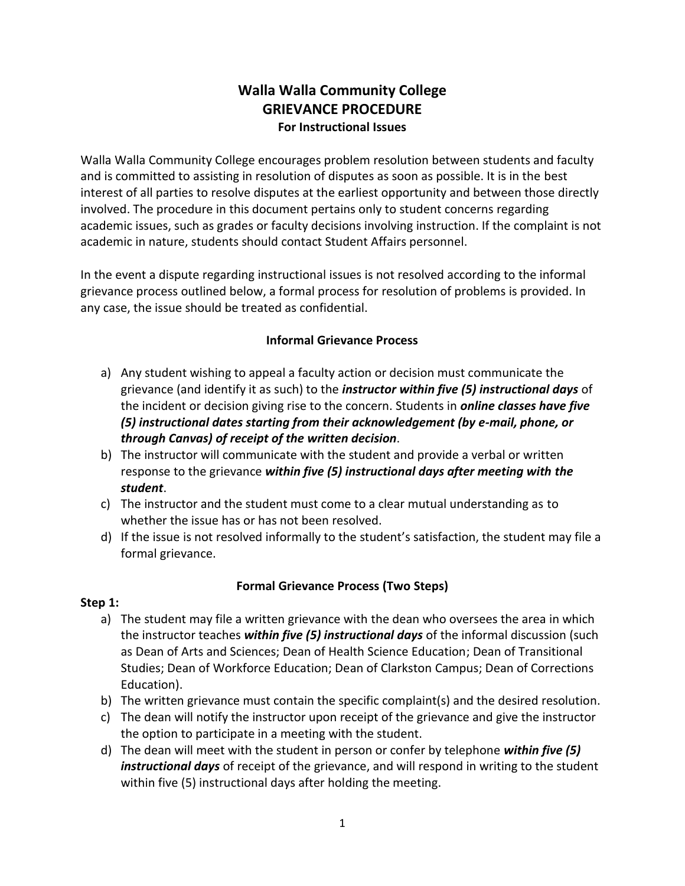# **Walla Walla Community College GRIEVANCE PROCEDURE For Instructional Issues**

Walla Walla Community College encourages problem resolution between students and faculty and is committed to assisting in resolution of disputes as soon as possible. It is in the best interest of all parties to resolve disputes at the earliest opportunity and between those directly involved. The procedure in this document pertains only to student concerns regarding academic issues, such as grades or faculty decisions involving instruction. If the complaint is not academic in nature, students should contact Student Affairs personnel.

In the event a dispute regarding instructional issues is not resolved according to the informal grievance process outlined below, a formal process for resolution of problems is provided. In any case, the issue should be treated as confidential.

#### **Informal Grievance Process**

- a) Any student wishing to appeal a faculty action or decision must communicate the grievance (and identify it as such) to the *instructor within five (5) instructional days* of the incident or decision giving rise to the concern. Students in *online classes have five (5) instructional dates starting from their acknowledgement (by e-mail, phone, or through Canvas) of receipt of the written decision*.
- b) The instructor will communicate with the student and provide a verbal or written response to the grievance *within five (5) instructional days after meeting with the student*.
- c) The instructor and the student must come to a clear mutual understanding as to whether the issue has or has not been resolved.
- d) If the issue is not resolved informally to the student's satisfaction, the student may file a formal grievance.

## **Formal Grievance Process (Two Steps)**

## **Step 1:**

- a) The student may file a written grievance with the dean who oversees the area in which the instructor teaches *within five (5) instructional days* of the informal discussion (such as Dean of Arts and Sciences; Dean of Health Science Education; Dean of Transitional Studies; Dean of Workforce Education; Dean of Clarkston Campus; Dean of Corrections Education).
- b) The written grievance must contain the specific complaint(s) and the desired resolution.
- c) The dean will notify the instructor upon receipt of the grievance and give the instructor the option to participate in a meeting with the student.
- d) The dean will meet with the student in person or confer by telephone *within five (5) instructional days* of receipt of the grievance, and will respond in writing to the student within five (5) instructional days after holding the meeting.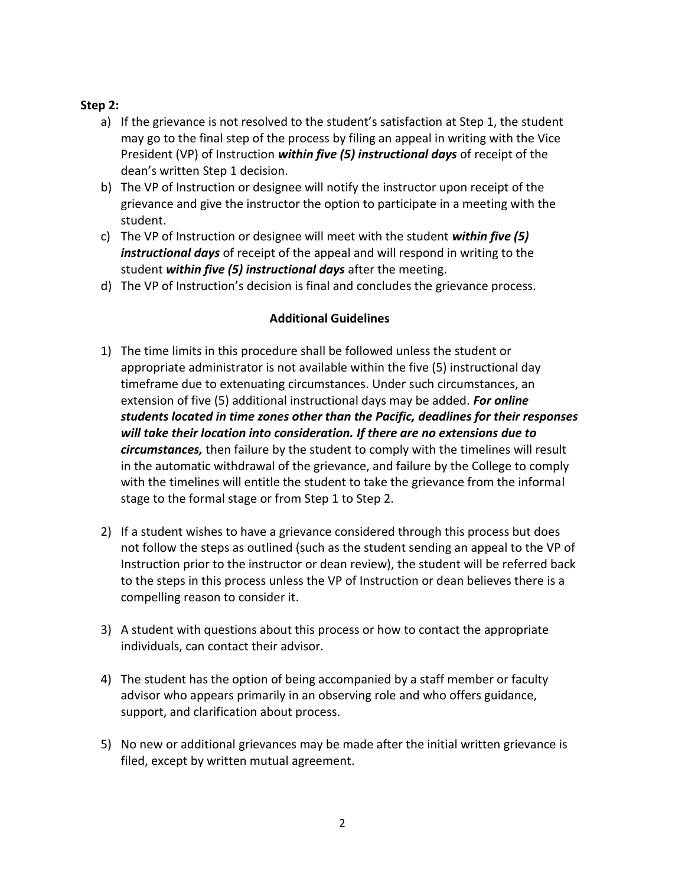#### **Step 2:**

- a) If the grievance is not resolved to the student's satisfaction at Step 1, the student may go to the final step of the process by filing an appeal in writing with the Vice President (VP) of Instruction *within five (5) instructional days* of receipt of the dean's written Step 1 decision.
- b) The VP of Instruction or designee will notify the instructor upon receipt of the grievance and give the instructor the option to participate in a meeting with the student.
- c) The VP of Instruction or designee will meet with the student *within five (5) instructional days* of receipt of the appeal and will respond in writing to the student *within five (5) instructional days* after the meeting.
- d) The VP of Instruction's decision is final and concludes the grievance process.

#### **Additional Guidelines**

- 1) The time limits in this procedure shall be followed unless the student or appropriate administrator is not available within the five (5) instructional day timeframe due to extenuating circumstances. Under such circumstances, an extension of five (5) additional instructional days may be added. *For online students located in time zones other than the Pacific, deadlines for their responses will take their location into consideration. If there are no extensions due to circumstances,* then failure by the student to comply with the timelines will result in the automatic withdrawal of the grievance, and failure by the College to comply with the timelines will entitle the student to take the grievance from the informal stage to the formal stage or from Step 1 to Step 2.
- 2) If a student wishes to have a grievance considered through this process but does not follow the steps as outlined (such as the student sending an appeal to the VP of Instruction prior to the instructor or dean review), the student will be referred back to the steps in this process unless the VP of Instruction or dean believes there is a compelling reason to consider it.
- 3) A student with questions about this process or how to contact the appropriate individuals, can contact their advisor.
- 4) The student has the option of being accompanied by a staff member or faculty advisor who appears primarily in an observing role and who offers guidance, support, and clarification about process.
- 5) No new or additional grievances may be made after the initial written grievance is filed, except by written mutual agreement.